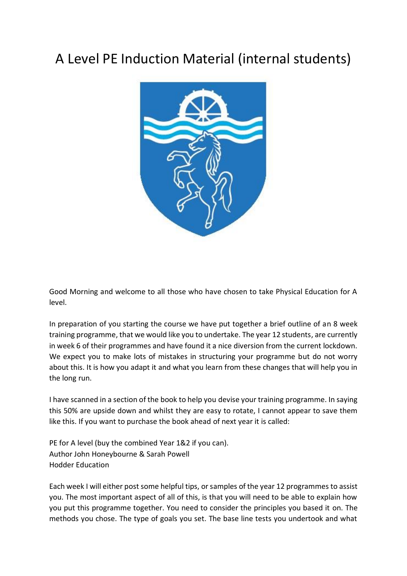# A Level PE Induction Material (internal students)



Good Morning and welcome to all those who have chosen to take Physical Education for A level.

In preparation of you starting the course we have put together a brief outline of an 8 week training programme, that we would like you to undertake. The year 12 students, are currently in week 6 of their programmes and have found it a nice diversion from the current lockdown. We expect you to make lots of mistakes in structuring your programme but do not worry about this. It is how you adapt it and what you learn from these changes that will help you in the long run.

I have scanned in a section of the book to help you devise your training programme. In saying this 50% are upside down and whilst they are easy to rotate, I cannot appear to save them like this. If you want to purchase the book ahead of next year it is called:

PE for A level (buy the combined Year 1&2 if you can). Author John Honeybourne & Sarah Powell Hodder Education

Each week I will either post some helpful tips, or samples of the year 12 programmes to assist you. The most important aspect of all of this, is that you will need to be able to explain how you put this programme together. You need to consider the principles you based it on. The methods you chose. The type of goals you set. The base line tests you undertook and what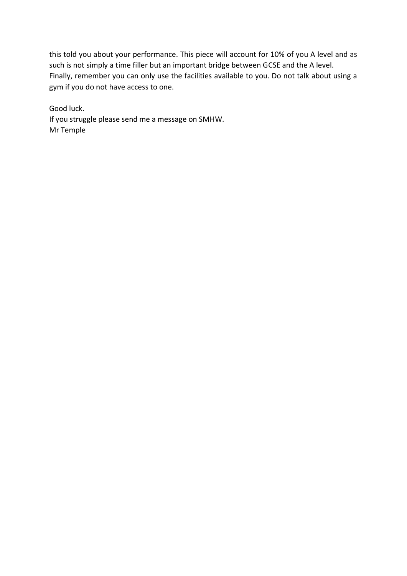this told you about your performance. This piece will account for 10% of you A level and as such is not simply a time filler but an important bridge between GCSE and the A level. Finally, remember you can only use the facilities available to you. Do not talk about using a gym if you do not have access to one.

Good luck. If you struggle please send me a message on SMHW. Mr Temple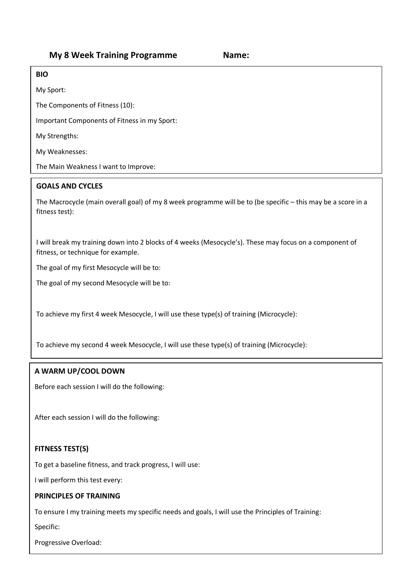# **BIO**

My Sport:

The Components of Fitness (10):

Important Components of Fitness in my Sport:

My Strengths:

My Weaknesses:

The Main Weakness I want to Improve:

# **GOALS AND CYCLES**

The Macrocycle (main overall goal) of my 8 week programme will be to (be specific – this may be a score in a fitness test):

I will break my training down into 2 blocks of 4 weeks (Mesocycle's). These may focus on a component of fitness, or technique for example.

The goal of my first Mesocycle will be to:

The goal of my second Mesocycle will be to:

To achieve my first 4 week Mesocycle, I will use these type(s) of training (Microcycle):

To achieve my second 4 week Mesocycle, I will use these type(s) of training (Microcycle):

#### **A WARM UP/COOL DOWN**

Before each session I will do the following:

After each session I will do the following:

# **FITNESS TEST(S)**

To get a baseline fitness, and track progress, I will use:

I will perform this test every:

#### **PRINCIPLES OF TRAINING**

To ensure I my training meets my specific needs and goals, I will use the Principles of Training:

Specific:

Progressive Overload: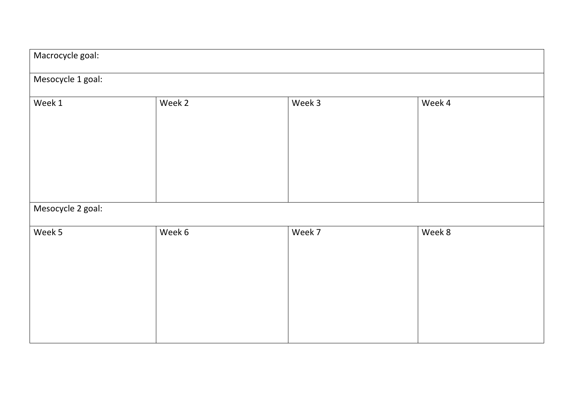| Macrocycle goal:  |        |        |        |
|-------------------|--------|--------|--------|
| Mesocycle 1 goal: |        |        |        |
| Week 1            | Week 2 | Week 3 | Week 4 |
| Mesocycle 2 goal: |        |        |        |
| Week 5            | Week 6 | Week 7 | Week 8 |